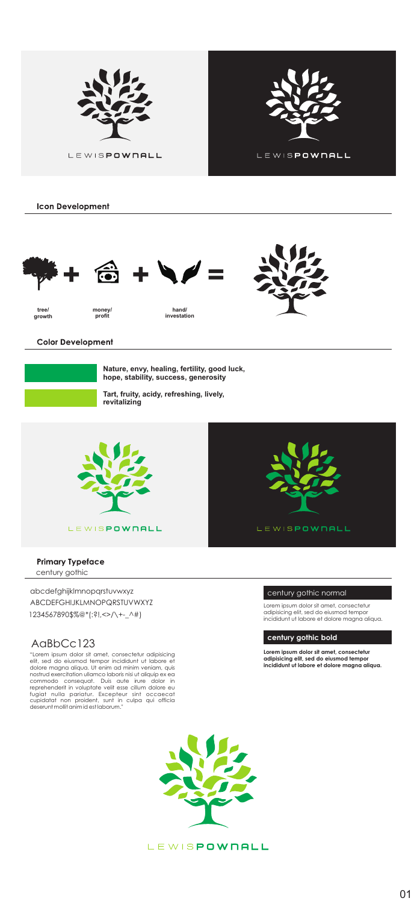

**Icon Development** 





Color Development

| Nature, envy, healing, fertility, good luck.<br>hope, stability, success, generasity |
|--------------------------------------------------------------------------------------|
| Tart, fruity, acidy, refreshing, lively,<br>revitalizing                             |



Primary Typeface

century gothic

abcdefghijklmnopqrstuvwxyz

ABCDEFGHIJKLMNOPQRSTUVWXYZ 1234567890\$%@\*(:?!,<>/\+-\_^#)

# AaBbCc123

nostrud exercitation ullamco laboris nisi ut aliquip ex ea commodo consequat. Duis aute irure dolor in reprehenderit in voluptate velit esse cillum dolore eu<br>fugiat nulla proident, Excepteur sint occaecat<br>cupidatat non proident, sunt in culpa qui officia<br>deserunt mollit animalis sullature."



**LEWISPOWNALL** 

# century gothic normal

**century gothic bold**

**Lorem ipsum dolor sit amet, consectetur adipisicing elit, sed do eiusmod tempor incididunt ut labore et dolore magna aliqua.**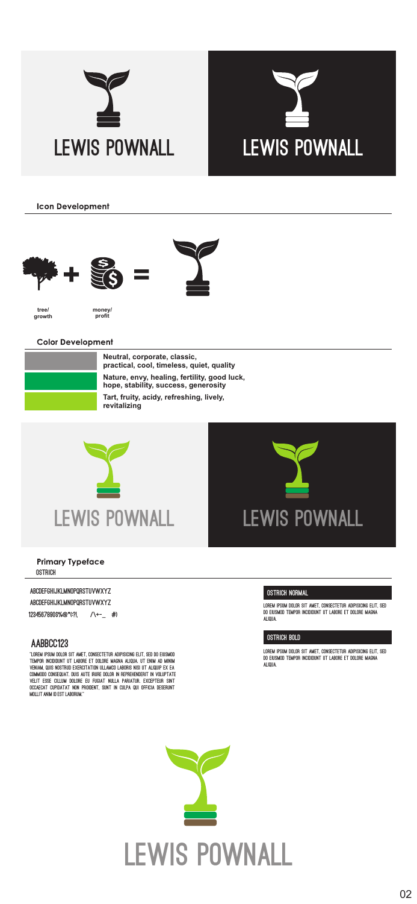



**Icon Development** 





Color Development

| Neutral, corporate, classic.<br>practical, cool, timeless, quiet, quality                                                                        |
|--------------------------------------------------------------------------------------------------------------------------------------------------|
| Nature, envy, healing, fertility, good luck.<br>hope, stability, success, generasity<br>Tart, fruity, acidy, refreshing, lively,<br>revitalizing |



**ostrich**

## **abcdefghijklmnopqrstuvwxyz**

**ABCDEFGHIJKLMNOPQRSTUVWXYZ**

**1234567890\$%@\*(:?!,<>/\+-\_^#)**

### **AaBbCc123**

tania film dedi di met, chectitur apoche e.f. do segundo<br>Twest redidint et ladin et dijsk kasa, ajqin, et fina ad knin<br>Vinim que ketno ediscititib illimet ladine ko it. ajqip ist in CHARDS CROQUE DIE AFTI RUR DOJN IN RIFIDIENINT IN VOLKTATU<br>Vilit 1938: Clauw Dojne 16 Front Nola Faratik, Ekzatsun diet<br>Idarde Cambatat non Frodikt, diet in Copa die Oficia Debikiet

**mollit anim id est laborum."**

#### **ostrich normal**

**Lorem ipsum dolor sit amet, consectetur adipisicing elit, sed do eiusmod tempor incididunt ut labore et dolore magna** 

#### **ostrich bold**

**Lorem ipsum dolor sit amet, consectetur adipisicing elit, sed do eiusmod tempor incididunt ut labore et dolore magna**